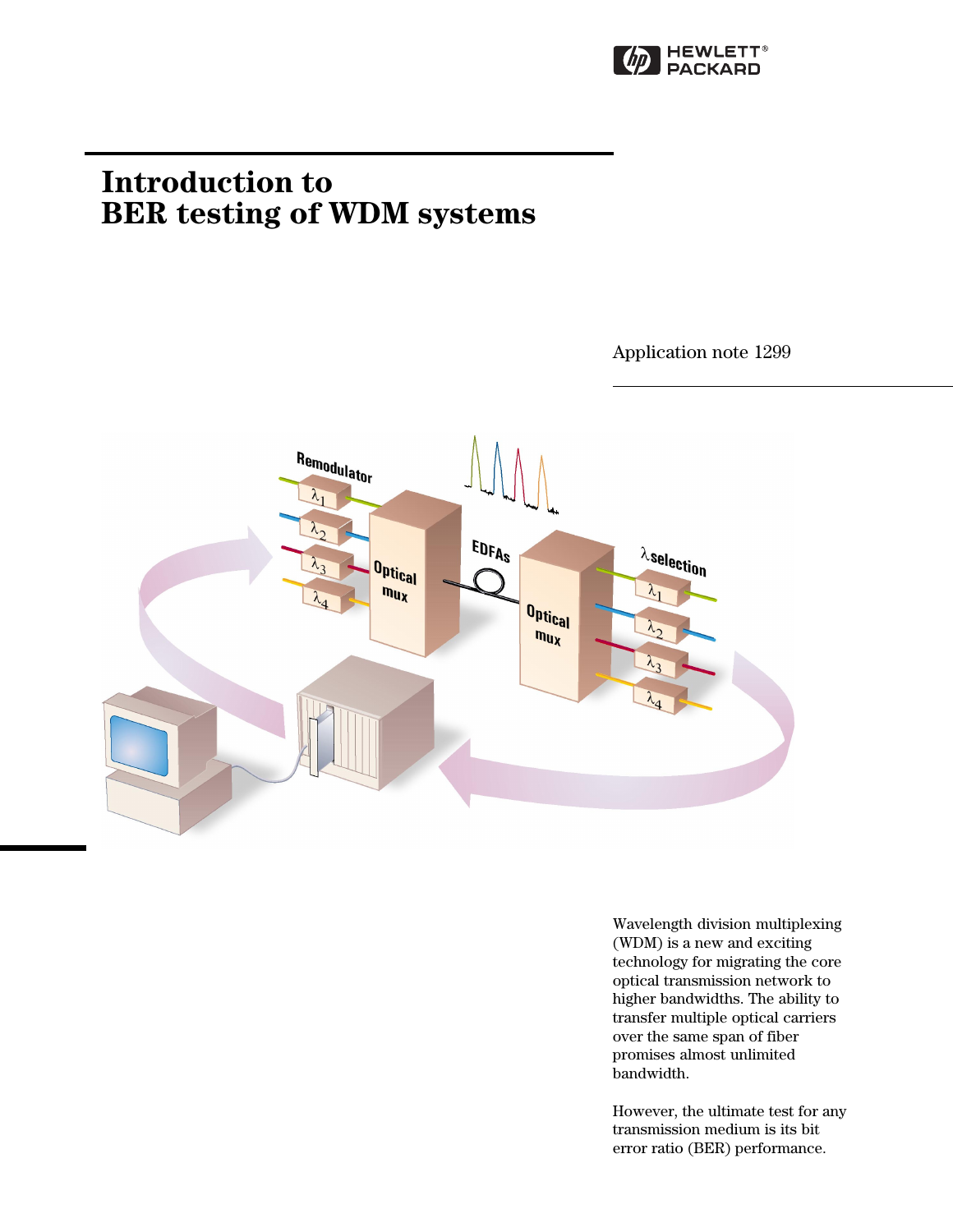

# **Introduction to BER testing of WDM systems**

Application note 1299



Wavelength division multiplexing (WDM) is a new and exciting technology for migrating the core optical transmission network to higher bandwidths. The ability to transfer multiple optical carriers over the same span of fiber promises almost unlimited bandwidth.

However, the ultimate test for any transmission medium is its bit error ratio (BER) performance.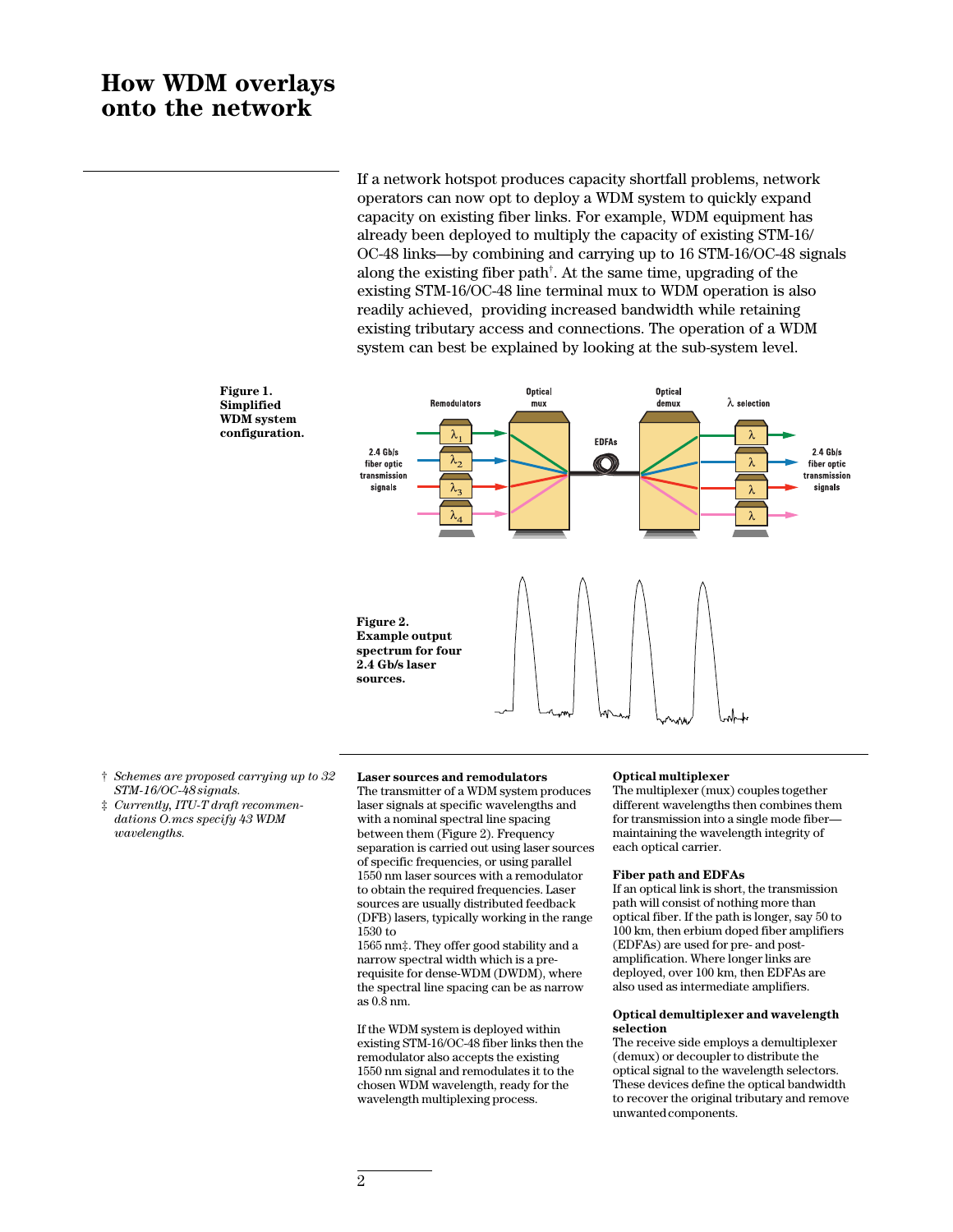# **How WDM overlays onto the network**

If a network hotspot produces capacity shortfall problems, network operators can now opt to deploy a WDM system to quickly expand capacity on existing fiber links. For example, WDM equipment has already been deployed to multiply the capacity of existing STM-16/ OC-48 links—by combining and carrying up to 16 STM-16/OC-48 signals along the existing fiber path† . At the same time, upgrading of the existing STM-16/OC-48 line terminal mux to WDM operation is also readily achieved, providing increased bandwidth while retaining existing tributary access and connections. The operation of a WDM system can best be explained by looking at the sub-system level.



**Figure 1. Simplified WDM system configuration.**

- † *Schemes are proposed carrying up to 32 STM-16/OC-48 signals.*
- ‡ *Currently, ITU-T draft recommendations O.mcs specify 43 WDM wavelengths.*

#### **Laser sources and remodulators**

The transmitter of a WDM system produces laser signals at specific wavelengths and with a nominal spectral line spacing between them (Figure 2). Frequency separation is carried out using laser sources of specific frequencies, or using parallel 1550 nm laser sources with a remodulator to obtain the required frequencies. Laser sources are usually distributed feedback (DFB) lasers, typically working in the range 1530 to

1565 nm‡. They offer good stability and a narrow spectral width which is a prerequisite for dense-WDM (DWDM), where the spectral line spacing can be as narrow as 0.8 nm.

If the WDM system is deployed within existing STM-16/OC-48 fiber links then the remodulator also accepts the existing 1550 nm signal and remodulates it to the chosen WDM wavelength, ready for the wavelength multiplexing process.

#### **Optical multiplexer**

The multiplexer (mux) couples together different wavelengths then combines them for transmission into a single mode fibermaintaining the wavelength integrity of each optical carrier.

#### **Fiber path and EDFAs**

If an optical link is short, the transmission path will consist of nothing more than optical fiber. If the path is longer, say 50 to 100 km, then erbium doped fiber amplifiers (EDFAs) are used for pre- and postamplification. Where longer links are deployed, over 100 km, then EDFAs are also used as intermediate amplifiers.

#### **Optical demultiplexer and wavelength selection**

The receive side employs a demultiplexer (demux) or decoupler to distribute the optical signal to the wavelength selectors. These devices define the optical bandwidth to recover the original tributary and remove unwanted components.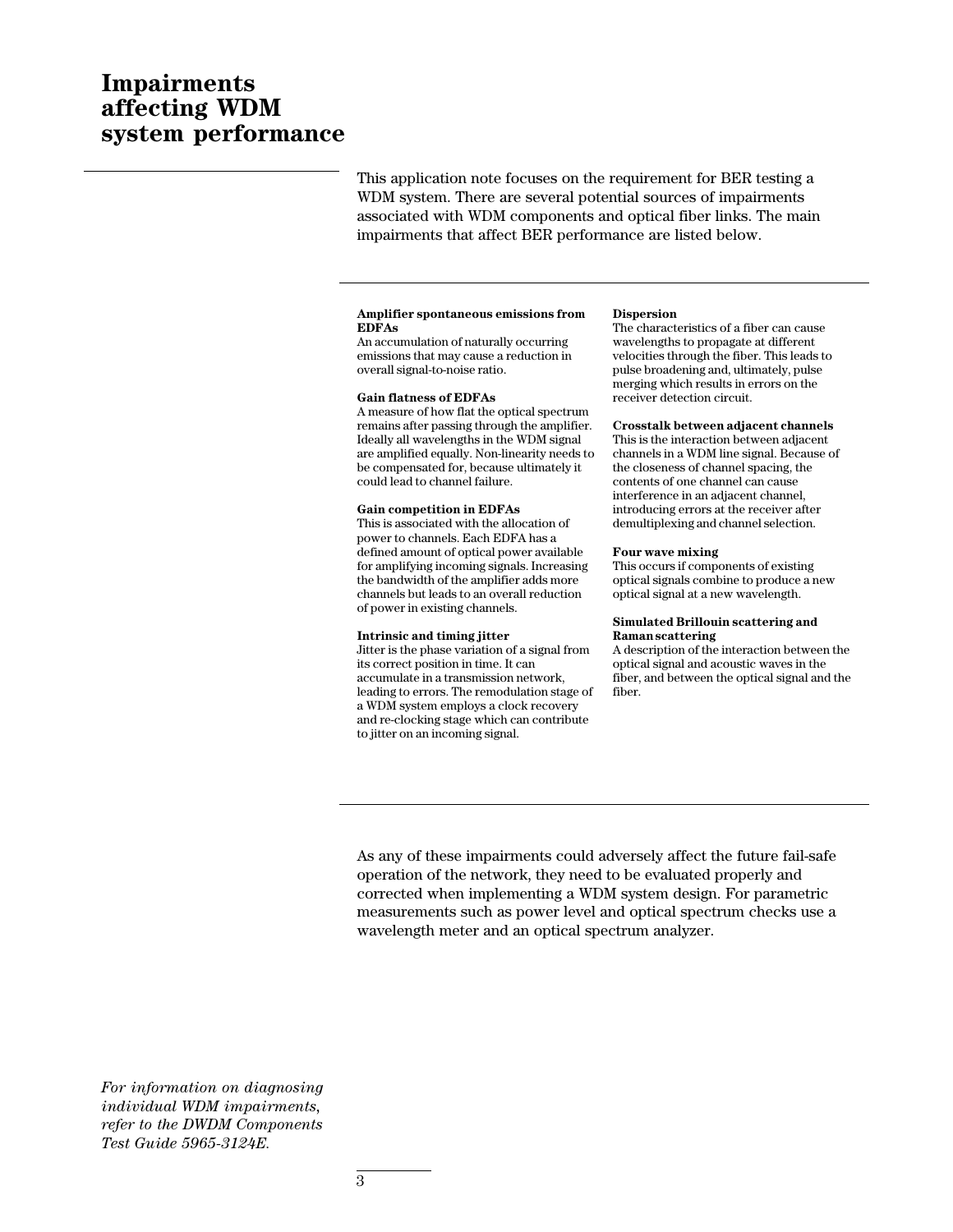# **Impairments affecting WDM system performance**

This application note focuses on the requirement for BER testing a WDM system. There are several potential sources of impairments associated with WDM components and optical fiber links. The main impairments that affect BER performance are listed below.

#### **Amplifier spontaneous emissions from EDFAs**

An accumulation of naturally occurring emissions that may cause a reduction in overall signal-to-noise ratio.

#### **Gain flatness of EDFAs**

A measure of how flat the optical spectrum remains after passing through the amplifier. Ideally all wavelengths in the WDM signal are amplified equally. Non-linearity needs to be compensated for, because ultimately it could lead to channel failure.

### **Gain competition in EDFAs**

This is associated with the allocation of power to channels. Each EDFA has a defined amount of optical power available for amplifying incoming signals. Increasing the bandwidth of the amplifier adds more channels but leads to an overall reduction of power in existing channels.

#### **Intrinsic and timing jitter**

Jitter is the phase variation of a signal from its correct position in time. It can accumulate in a transmission network, leading to errors. The remodulation stage of a WDM system employs a clock recovery and re-clocking stage which can contribute to jitter on an incoming signal.

#### **Dispersion**

The characteristics of a fiber can cause wavelengths to propagate at different velocities through the fiber. This leads to pulse broadening and, ultimately, pulse merging which results in errors on the receiver detection circuit.

#### **Crosstalk between adjacent channels**

This is the interaction between adjacent channels in a WDM line signal. Because of the closeness of channel spacing, the contents of one channel can cause interference in an adjacent channel, introducing errors at the receiver after demultiplexing and channel selection.

### **Four wave mixing**

This occurs if components of existing optical signals combine to produce a new optical signal at a new wavelength.

#### **Simulated Brillouin scattering and Raman scattering**

A description of the interaction between the optical signal and acoustic waves in the fiber, and between the optical signal and the fiber.

As any of these impairments could adversely affect the future fail-safe operation of the network, they need to be evaluated properly and corrected when implementing a WDM system design. For parametric measurements such as power level and optical spectrum checks use a wavelength meter and an optical spectrum analyzer.

*For information on diagnosing individual WDM impairments, refer to the DWDM Components Test Guide 5965-3124E.*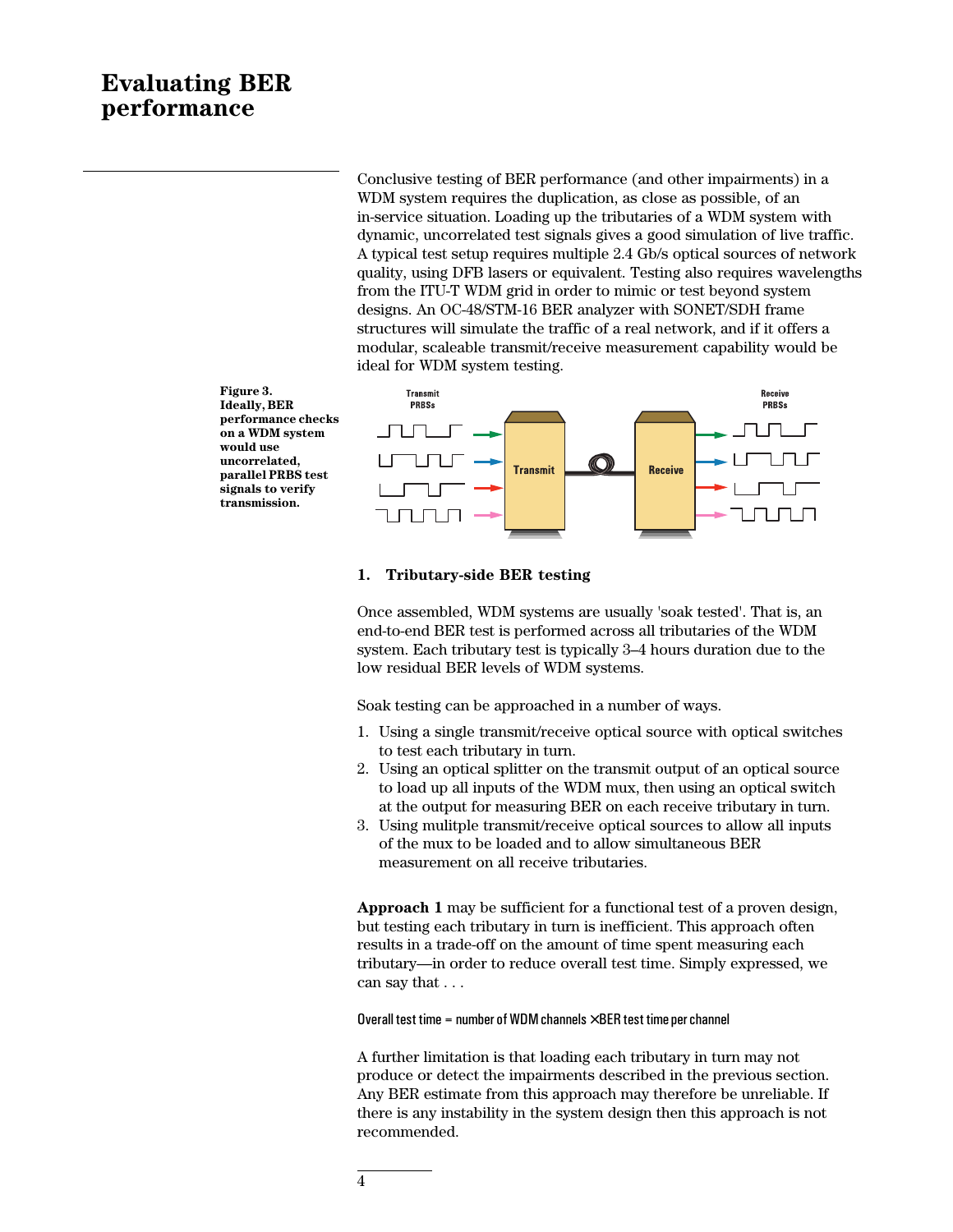# **Evaluating BER performance**

Conclusive testing of BER performance (and other impairments) in a WDM system requires the duplication, as close as possible, of an in-service situation. Loading up the tributaries of a WDM system with dynamic, uncorrelated test signals gives a good simulation of live traffic. A typical test setup requires multiple 2.4 Gb/s optical sources of network quality, using DFB lasers or equivalent. Testing also requires wavelengths from the ITU-T WDM grid in order to mimic or test beyond system designs. An OC-48/STM-16 BER analyzer with SONET/SDH frame structures will simulate the traffic of a real network, and if it offers a modular, scaleable transmit/receive measurement capability would be ideal for WDM system testing.



## **1. Tributary-side BER testing**

Once assembled, WDM systems are usually 'soak tested'. That is, an end-to-end BER test is performed across all tributaries of the WDM system. Each tributary test is typically 3–4 hours duration due to the low residual BER levels of WDM systems.

Soak testing can be approached in a number of ways.

- 1. Using a single transmit/receive optical source with optical switches to test each tributary in turn.
- 2. Using an optical splitter on the transmit output of an optical source to load up all inputs of the WDM mux, then using an optical switch at the output for measuring BER on each receive tributary in turn.
- 3. Using mulitple transmit/receive optical sources to allow all inputs of the mux to be loaded and to allow simultaneous BER measurement on all receive tributaries.

**Approach 1** may be sufficient for a functional test of a proven design, but testing each tributary in turn is inefficient. This approach often results in a trade-off on the amount of time spent measuring each tributary—in order to reduce overall test time. Simply expressed, we can say that . . .

Overall test time = number of WDM channels  $\times$  BER test time per channel

A further limitation is that loading each tributary in turn may not produce or detect the impairments described in the previous section. Any BER estimate from this approach may therefore be unreliable. If there is any instability in the system design then this approach is not recommended.

**Ideally, BER performance checks on a WDM system would use uncorrelated, parallel PRBS test signals to verify transmission.**

**Figure 3.**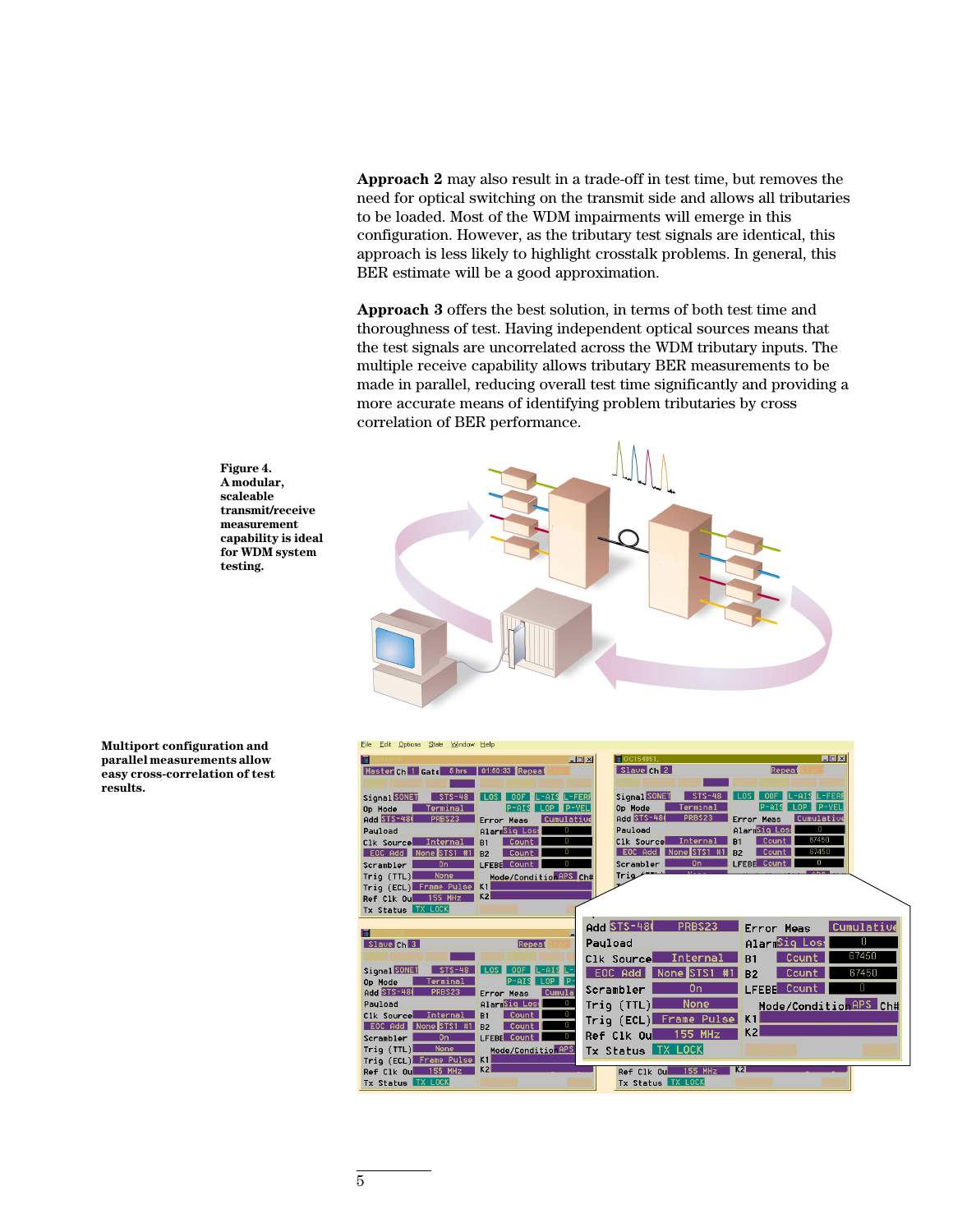**Approach 2** may also result in a trade-off in test time, but removes the need for optical switching on the transmit side and allows all tributaries to be loaded. Most of the WDM impairments will emerge in this configuration. However, as the tributary test signals are identical, this approach is less likely to highlight crosstalk problems. In general, this BER estimate will be a good approximation.

**Approach 3** offers the best solution, in terms of both test time and thoroughness of test. Having independent optical sources means that the test signals are uncorrelated across the WDM tributary inputs. The multiple receive capability allows tributary BER measurements to be made in parallel, reducing overall test time significantly and providing a more accurate means of identifying problem tributaries by cross correlation of BER performance.





**Multiport configuration and parallel measurements allow easy cross-correlation of test results.**

| Eile Edit Options State Window Help                                                       |                                                                                               |
|-------------------------------------------------------------------------------------------|-----------------------------------------------------------------------------------------------|
| п                                                                                         | $\blacksquare$ $\blacksquare$<br>OC154851<br>$-101 \times$                                    |
| Master Ch 1 Gate 5 hrs<br>01:50:33 Repeat                                                 | Slave Ch <sup>2</sup><br>Repeat                                                               |
|                                                                                           |                                                                                               |
| Signal SONET<br>nne                                                                       | Signal SONET<br>L-FERI<br>.-FERF                                                              |
| <b>P-YEL</b><br>Terminal<br>$\Omega$<br>Op Mode<br>P-AIS                                  | $P - VEL$<br>Op Mode<br>Terminal                                                              |
| <b>Add STS-48</b><br>PRBS23<br>Cumulative<br>Error Meas                                   | Add STS-48<br>PRBS23<br>Cumulative<br>Error Meas                                              |
| AlarmSig Loss<br>Pauload<br>0                                                             | AlarmSig Loss<br>0<br>Pauload                                                                 |
| n<br>Internal<br>Count<br>C1k Source<br>B1                                                | 67450<br>Internal<br>Count<br>C1k Source<br>R1                                                |
| o<br>EOC Add None STS1 #1<br>Count<br><b>B2</b>                                           | 67450<br>EOC Add<br>None STS1 #1<br>Count<br><b>B2</b><br>LFEBE Count<br>n<br>0n<br>Scrambler |
| LFEBE Count<br>0n<br>Scrambler<br>None                                                    | Tria                                                                                          |
| Mode/Condition APS Ch#<br>Triq $(TTL)$<br>Trig (ECL) Frame Pulse K1                       |                                                                                               |
| K <sub>2</sub><br>155 MHz<br>Ref Clk Ou                                                   |                                                                                               |
| Tx Status TX LOCK                                                                         |                                                                                               |
|                                                                                           |                                                                                               |
| п                                                                                         | <b>Add STS-48</b><br>PRBS23<br>Cumulative<br>Error Meas                                       |
| Slave Ch 3<br>Repeat                                                                      | AlarmSig Los:<br>0<br>Pauload                                                                 |
|                                                                                           | 67450<br>Count<br>Internal<br>Clk Source<br><b>B1</b>                                         |
| Signal SONET<br>$STS-48$<br>-AIS                                                          | 67450<br>EOC Add<br>None STS1<br>Count<br>B <sub>2</sub>                                      |
| LOP<br>I p-<br>Op Mode<br>Terminal<br>P-AIS                                               | Π                                                                                             |
| Add STS-48<br>PRBS23<br>Cumula<br>Error Meas                                              | LFEBE Count<br>0 <sub>n</sub><br>Scrambler                                                    |
| AlarmSig Loss<br>Pauload<br>n.                                                            | Trig (TTL)<br>None<br>Mode/Condition <sup>9PS</sup> Ch#                                       |
| Count<br>n<br>C1k Source<br>Internal<br>B1                                                | Trig (ECL) Frame Pulse<br>K1                                                                  |
| n<br>Count<br>EOC Add<br>None STS1 #1<br><b>B2</b><br>LFEBE Count<br>n.<br>0 <sub>n</sub> | K2<br><b>155 MHz</b><br>Ref Clk Ou                                                            |
| Scrambler<br>Triq(TTL)<br><b>None</b>                                                     |                                                                                               |
| Mode/Condition APS<br>Trig (ECL) Frame Pulse K1                                           | Tx Status TX LOCK                                                                             |
| K2<br><b>155 MHz</b><br>Ref Clk Ou                                                        | K2<br><b>155 MHz</b><br>Ref Clk Ou                                                            |
| Tx Status TX LOCK                                                                         | Tx Status TX LOCK                                                                             |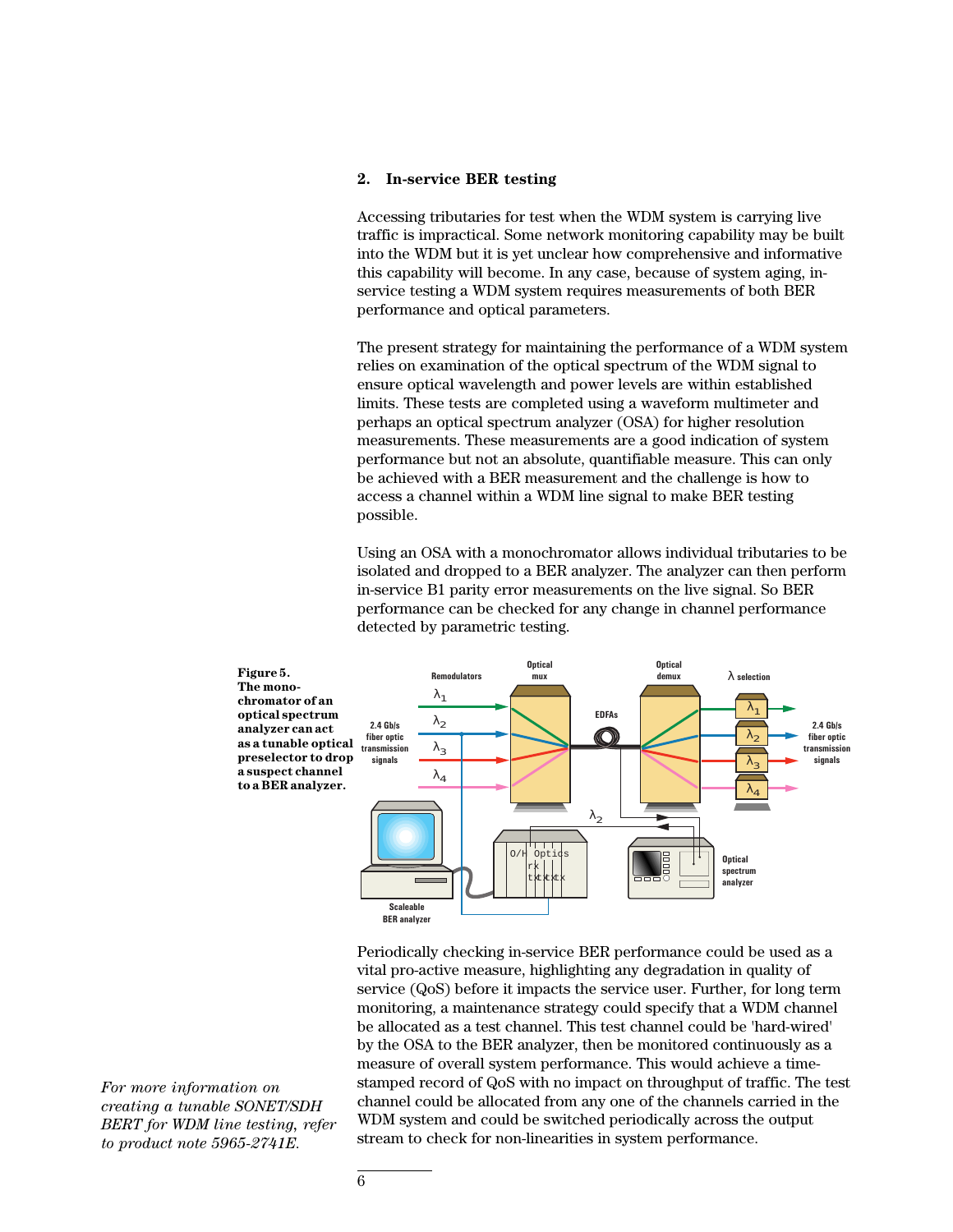## **2. In-service BER testing**

Accessing tributaries for test when the WDM system is carrying live traffic is impractical. Some network monitoring capability may be built into the WDM but it is yet unclear how comprehensive and informative this capability will become. In any case, because of system aging, inservice testing a WDM system requires measurements of both BER performance and optical parameters.

The present strategy for maintaining the performance of a WDM system relies on examination of the optical spectrum of the WDM signal to ensure optical wavelength and power levels are within established limits. These tests are completed using a waveform multimeter and perhaps an optical spectrum analyzer (OSA) for higher resolution measurements. These measurements are a good indication of system performance but not an absolute, quantifiable measure. This can only be achieved with a BER measurement and the challenge is how to access a channel within a WDM line signal to make BER testing possible.

Using an OSA with a monochromator allows individual tributaries to be isolated and dropped to a BER analyzer. The analyzer can then perform in-service B1 parity error measurements on the live signal. So BER performance can be checked for any change in channel performance detected by parametric testing.



Periodically checking in-service BER performance could be used as a vital pro-active measure, highlighting any degradation in quality of service (QoS) before it impacts the service user. Further, for long term monitoring, a maintenance strategy could specify that a WDM channel be allocated as a test channel. This test channel could be 'hard-wired' by the OSA to the BER analyzer, then be monitored continuously as a measure of overall system performance. This would achieve a timestamped record of QoS with no impact on throughput of traffic. The test channel could be allocated from any one of the channels carried in the WDM system and could be switched periodically across the output stream to check for non-linearities in system performance.

*For more information on creating a tunable SONET/SDH BERT for WDM line testing, refer to product note 5965-2741E.*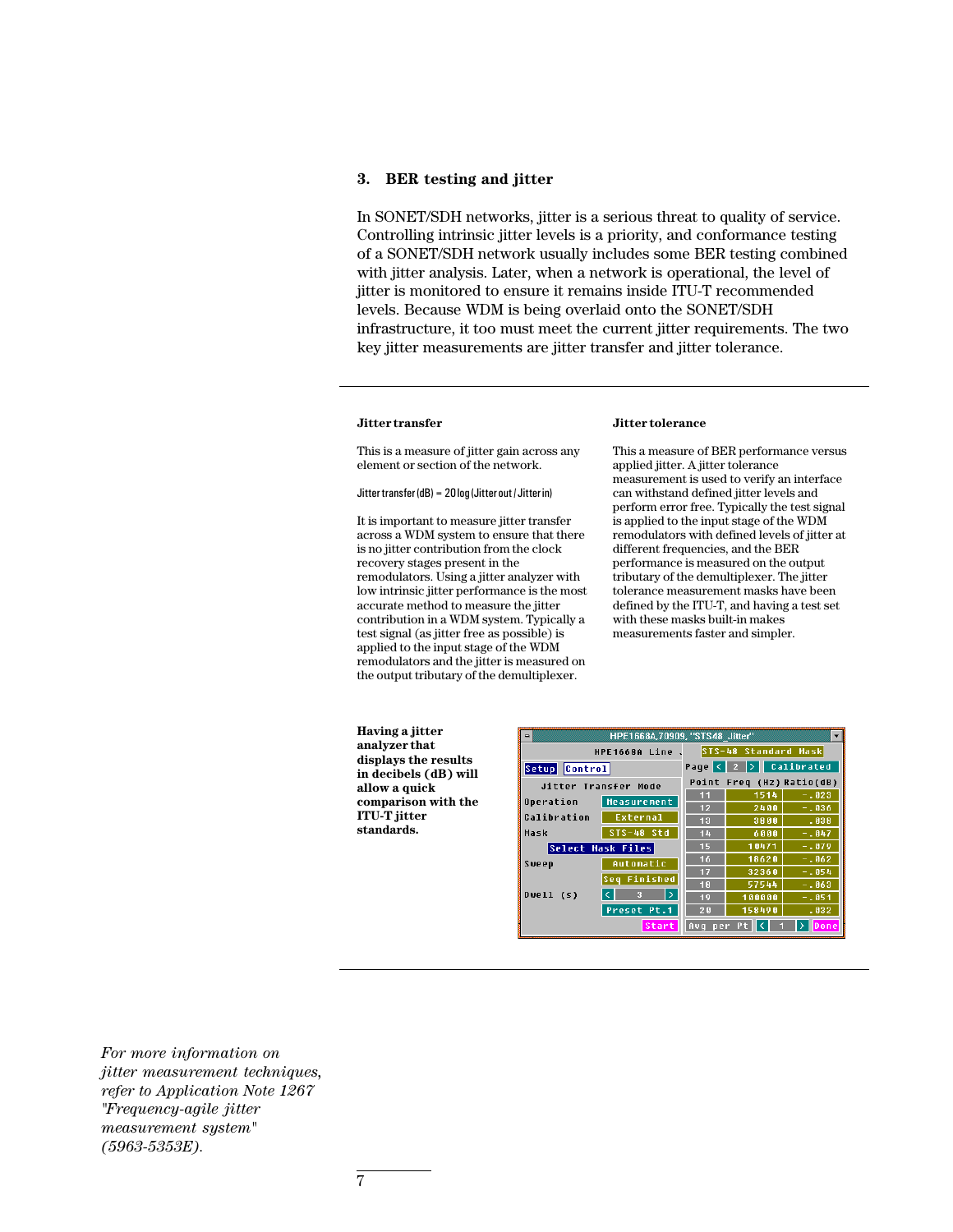## **3. BER testing and jitter**

In SONET/SDH networks, jitter is a serious threat to quality of service. Controlling intrinsic jitter levels is a priority, and conformance testing of a SONET/SDH network usually includes some BER testing combined with jitter analysis. Later, when a network is operational, the level of jitter is monitored to ensure it remains inside ITU-T recommended levels. Because WDM is being overlaid onto the SONET/SDH infrastructure, it too must meet the current jitter requirements. The two key jitter measurements are jitter transfer and jitter tolerance.

#### **Jitter transfer**

This is a measure of jitter gain across any element or section of the network.

#### Jitter transfer (dB) = 20 log (Jitter out / Jitter in)

It is important to measure jitter transfer across a WDM system to ensure that there is no jitter contribution from the clock recovery stages present in the remodulators. Using a jitter analyzer with low intrinsic jitter performance is the most accurate method to measure the jitter contribution in a WDM system. Typically a test signal (as jitter free as possible) is applied to the input stage of the WDM remodulators and the jitter is measured on the output tributary of the demultiplexer.

### **Jitter tolerance**

This a measure of BER performance versus applied jitter. A jitter tolerance measurement is used to verify an interface can withstand defined jitter levels and perform error free. Typically the test signal is applied to the input stage of the WDM remodulators with defined levels of jitter at different frequencies, and the BER performance is measured on the output tributary of the demultiplexer. The jitter tolerance measurement masks have been defined by the ITU-T, and having a test set with these masks built-in makes measurements faster and simpler.

**Having a jitter analyzer that displays the results in decibels (dB) will allow a quick comparison with the ITU-T jitter standards.**

7

| HPE1668A, 70909, "STS48 Jitter"<br>$\blacksquare$          |                      |                                                                |                           |          |  |
|------------------------------------------------------------|----------------------|----------------------------------------------------------------|---------------------------|----------|--|
| HPE1668A Line                                              | STS-48 Standard Mask |                                                                |                           |          |  |
| Setup Control                                              |                      | Page $\left  \left  \left  \right  \right  \right $ Calibrated |                           |          |  |
| Jitter Transfer Mode                                       |                      |                                                                | Point Freq (Hz) Ratio(dB) |          |  |
|                                                            |                      | 11                                                             | 1514                      | $-1023$  |  |
| Operation                                                  | Measurement          | 12                                                             | 2400                      | $-1036$  |  |
| Calibration                                                | <b>External</b>      | 13                                                             | 3800                      | .038     |  |
| Mask                                                       | $STS-48$ Std         | 14                                                             | 6000                      | $-1047$  |  |
| Select Mask Files                                          |                      | 15                                                             | 10471                     | $-.079$  |  |
| Sweep                                                      | Automatic            | 16                                                             | 18620                     | $-1062$  |  |
|                                                            |                      | 17                                                             | 32360                     | $-1054$  |  |
| Dwell1 (s)                                                 | Finished<br>l S e a  | 18                                                             | 57544                     | $-1063$  |  |
|                                                            | l ci<br>l><br>з      | 19                                                             | 100000                    | $-0.051$ |  |
|                                                            | Preset Pt.1          | 20                                                             | 158490                    | .032     |  |
| l c<br>$\rightarrow$<br>Start<br>Done<br>Avq<br>Pt.<br>per |                      |                                                                |                           |          |  |

*For more information on jitter measurement techniques, refer to Application Note 1267 "Frequency-agile jitter measurement system" (5963-5353E).*